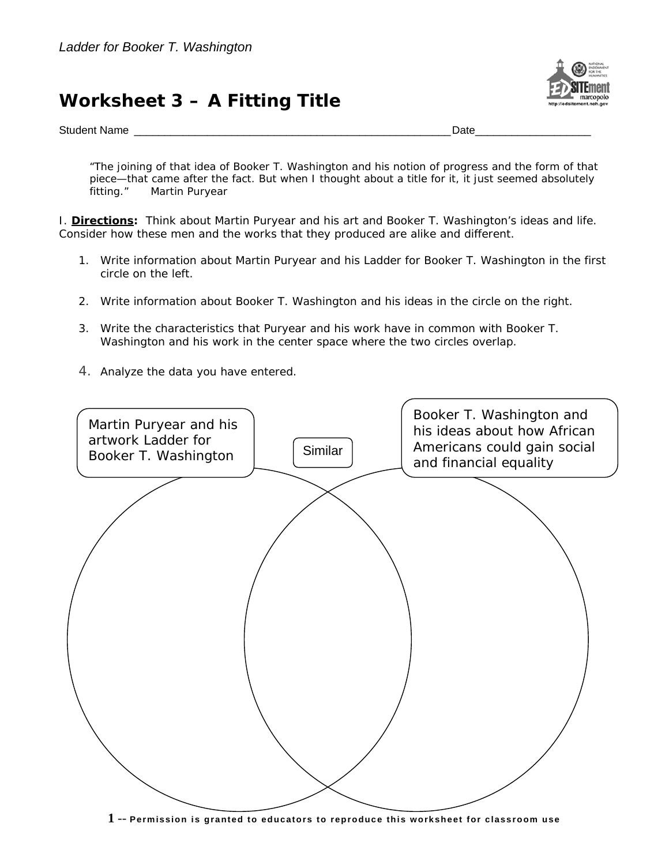## **Worksheet 3 – A Fitting Title**



Student Name \_\_\_\_\_\_\_\_\_\_\_\_\_\_\_\_\_\_\_\_\_\_\_\_\_\_\_\_\_\_\_\_\_\_\_\_\_\_\_\_\_\_\_\_\_\_\_\_\_\_\_\_Date\_\_\_\_\_\_\_\_\_\_\_\_\_\_\_\_\_\_\_

*"The joining of that idea of Booker T. Washington and his notion of progress and the form of that piece—that came after the fact. But when I thought about a title for it, it just seemed absolutely fitting."* Martin Puryear

I. *Directions:* Think about Martin Puryear and his art and Booker T. Washington's ideas and life. Consider how these men and the works that they produced are alike and different.

- 1. Write information about Martin Puryear and his *Ladder for Booker T. Washington* in the first circle on the left.
- 2. Write information about Booker T. Washington and his ideas in the circle on the right.
- 3. Write the characteristics that Puryear and his work have in common with Booker T. Washington and his work in the center space where the two circles overlap.
- 4. Analyze the data you have entered.



**1** -- **Permission is granted to educators to reproduce this worksheet for classroom use**